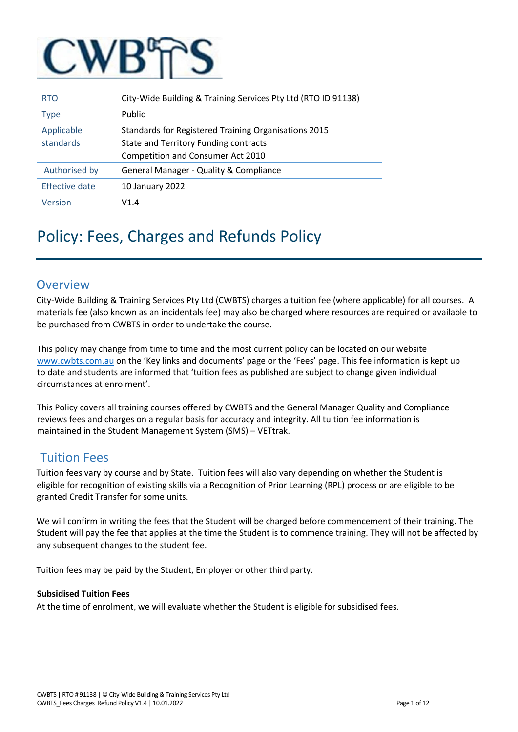

| <b>RTO</b>              | City-Wide Building & Training Services Pty Ltd (RTO ID 91138)                                                                             |
|-------------------------|-------------------------------------------------------------------------------------------------------------------------------------------|
| <b>Type</b>             | Public                                                                                                                                    |
| Applicable<br>standards | Standards for Registered Training Organisations 2015<br><b>State and Territory Funding contracts</b><br>Competition and Consumer Act 2010 |
| Authorised by           | General Manager - Quality & Compliance                                                                                                    |
| Effective date          | 10 January 2022                                                                                                                           |
| Version                 | V1.4                                                                                                                                      |

# Policy: Fees, Charges and Refunds Policy

### **Overview**

City-Wide Building & Training Services Pty Ltd (CWBTS) charges a tuition fee (where applicable) for all courses. A materials fee (also known as an incidentals fee) may also be charged where resources are required or available to be purchased from CWBTS in order to undertake the course.

This policy may change from time to time and the most current policy can be located on our website [www.cwbts.com.au](http://www.cwbts.com.au/) [o](http://www.cwbts.com.au/)n the 'Key links and documents' page or the 'Fees' page. This fee information is kept up to date and students are informed that 'tuition fees as published are subject to change given individual circumstances at enrolment'.

This Policy covers all training courses offered by CWBTS and the General Manager Quality and Compliance reviews fees and charges on a regular basis for accuracy and integrity. All tuition fee information is maintained in the Student Management System (SMS) – VETtrak.

# Tuition Fees

Tuition fees vary by course and by State. Tuition fees will also vary depending on whether the Student is eligible for recognition of existing skills via a Recognition of Prior Learning (RPL) process or are eligible to be granted Credit Transfer for some units.

We will confirm in writing the fees that the Student will be charged before commencement of their training. The Student will pay the fee that applies at the time the Student is to commence training. They will not be affected by any subsequent changes to the student fee.

Tuition fees may be paid by the Student, Employer or other third party.

#### **Subsidised Tuition Fees**

At the time of enrolment, we will evaluate whether the Student is eligible for subsidised fees.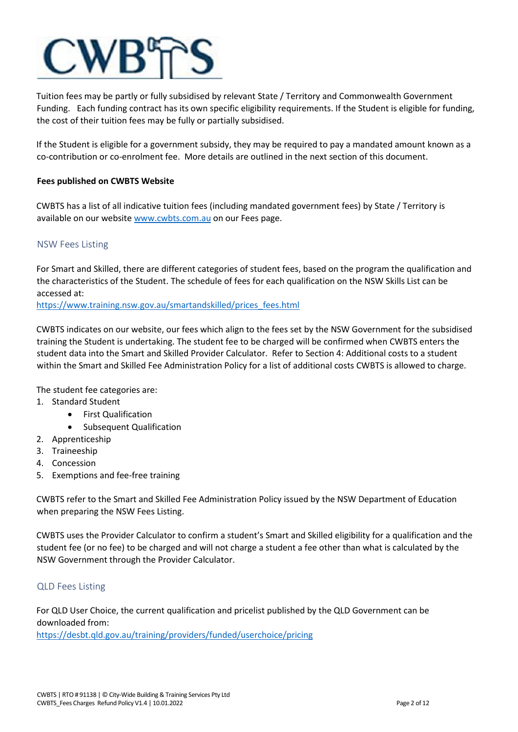

Tuition fees may be partly or fully subsidised by relevant State / Territory and Commonwealth Government Funding. Each funding contract has its own specific eligibility requirements. If the Student is eligible for funding, the cost of their tuition fees may be fully or partially subsidised.

If the Student is eligible for a government subsidy, they may be required to pay a mandated amount known as a co-contribution or co-enrolment fee. More details are outlined in the next section of this document.

#### **Fees published on CWBTS Website**

CWBTS has a list of all indicative tuition fees (including mandated government fees) by State / Territory is available on our website [www.cwbts.com.au](http://www.cwbts.com.au/) on our Fees page.

#### NSW Fees Listing

For Smart and Skilled, there are different categories of student fees, based on the program the qualification and the characteristics of the Student. The schedule of fees for each qualification on the NSW Skills List can be accessed at:

[https://www.training.nsw.gov.au/smartandskilled/prices\\_fees.html](https://www.training.nsw.gov.au/smartandskilled/prices_fees.html) 

CWBTS indicates on our website, our fees which align to the fees set by the NSW Government for the subsidised training the Student is undertaking. The student fee to be charged will be confirmed when CWBTS enters the student data into the Smart and Skilled Provider Calculator. Refer to Section 4: Additional costs to a student within the Smart and Skilled Fee Administration Policy for a list of additional costs CWBTS is allowed to charge.

The student fee categories are:

- 1. Standard Student
	- First Qualification
	- Subsequent Qualification
- 2. Apprenticeship
- 3. Traineeship
- 4. Concession
- 5. Exemptions and fee-free training

CWBTS refer to the Smart and Skilled Fee Administration Policy issued by the NSW Department of Education when preparing the NSW Fees Listing.

CWBTS uses the Provider Calculator to confirm a student's Smart and Skilled eligibility for a qualification and the student fee (or no fee) to be charged and will not charge a student a fee other than what is calculated by the NSW Government through the Provider Calculator.

#### QLD Fees Listing

For QLD User Choice, the current qualification and pricelist published by the QLD Government can be downloaded from: [https://desbt.qld.gov.au/training/providers/funded/userchoice/pricing](https://cwbts.com.au/fees/)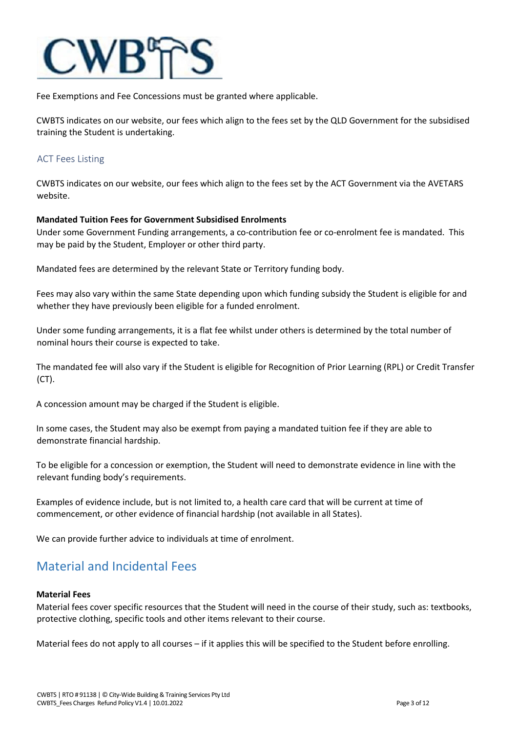

Fee Exemptions and Fee Concessions must be granted where applicable.

CWBTS indicates on our website, our fees which align to the fees set by the QLD Government for the subsidised training the Student is undertaking.

#### ACT Fees Listing

CWBTS indicates on our website, our fees which align to the fees set by the ACT Government via the AVETARS website.

#### **Mandated Tuition Fees for Government Subsidised Enrolments**

Under some Government Funding arrangements, a co-contribution fee or co-enrolment fee is mandated. This may be paid by the Student, Employer or other third party.

Mandated fees are determined by the relevant State or Territory funding body.

Fees may also vary within the same State depending upon which funding subsidy the Student is eligible for and whether they have previously been eligible for a funded enrolment.

Under some funding arrangements, it is a flat fee whilst under others is determined by the total number of nominal hours their course is expected to take.

The mandated fee will also vary if the Student is eligible for Recognition of Prior Learning (RPL) or Credit Transfer (CT).

A concession amount may be charged if the Student is eligible.

In some cases, the Student may also be exempt from paying a mandated tuition fee if they are able to demonstrate financial hardship.

To be eligible for a concession or exemption, the Student will need to demonstrate evidence in line with the relevant funding body's requirements.

Examples of evidence include, but is not limited to, a health care card that will be current at time of commencement, or other evidence of financial hardship (not available in all States).

We can provide further advice to individuals at time of enrolment.

### Material and Incidental Fees

#### **Material Fees**

Material fees cover specific resources that the Student will need in the course of their study, such as: textbooks, protective clothing, specific tools and other items relevant to their course.

Material fees do not apply to all courses – if it applies this will be specified to the Student before enrolling.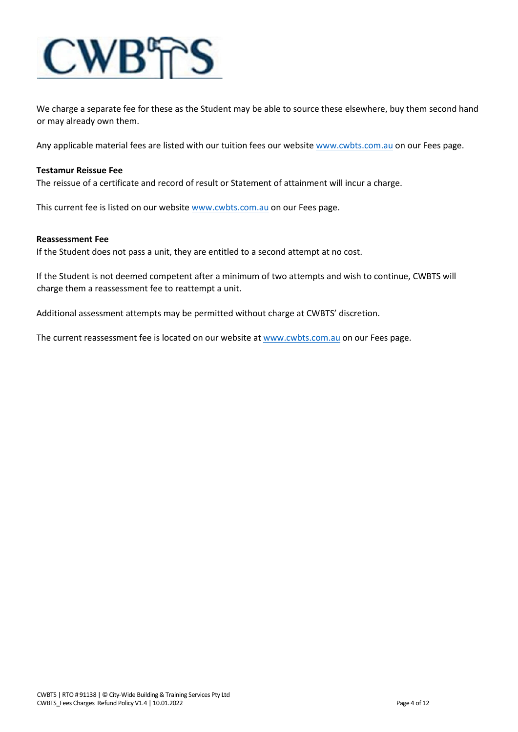

We charge a separate fee for these as the Student may be able to source these elsewhere, buy them second hand or may already own them.

Any applicable material fees are listed with our tuition fees our website [www.cwbts.com.au](http://www.cwbts.com.au/) [o](http://www.cwbts.com.au/)n our Fees page.

#### **Testamur Reissue Fee**

The reissue of a certificate and record of result or Statement of attainment will incur a charge.

This current fee is listed on our website [www.cwbts.com.au](http://www.cwbts.com.au/) on our Fees page.

#### **Reassessment Fee**

If the Student does not pass a unit, they are entitled to a second attempt at no cost.

If the Student is not deemed competent after a minimum of two attempts and wish to continue, CWBTS will charge them a reassessment fee to reattempt a unit.

Additional assessment attempts may be permitted without charge at CWBTS' discretion.

The current reassessment fee is located on our website a[t www.cwbts.com.au](http://www.cwbts.com.au/) on our Fees page.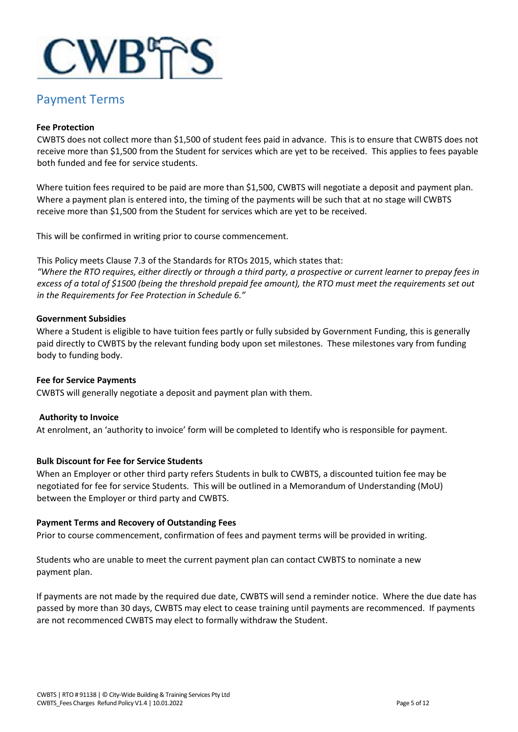

### Payment Terms

#### **Fee Protection**

CWBTS does not collect more than \$1,500 of student fees paid in advance. This is to ensure that CWBTS does not receive more than \$1,500 from the Student for services which are yet to be received. This applies to fees payable both funded and fee for service students.

Where tuition fees required to be paid are more than \$1,500, CWBTS will negotiate a deposit and payment plan. Where a payment plan is entered into, the timing of the payments will be such that at no stage will CWBTS receive more than \$1,500 from the Student for services which are yet to be received.

This will be confirmed in writing prior to course commencement.

This Policy meets Clause 7.3 of the Standards for RTOs 2015, which states that: *"Where the RTO requires, either directly or through a third party, a prospective or current learner to prepay fees in excess of a total of \$1500 (being the threshold prepaid fee amount), the RTO must meet the requirements set out in the Requirements for Fee Protection in Schedule 6."*

#### **Government Subsidies**

Where a Student is eligible to have tuition fees partly or fully subsided by Government Funding, this is generally paid directly to CWBTS by the relevant funding body upon set milestones. These milestones vary from funding body to funding body.

#### **Fee for Service Payments**

CWBTS will generally negotiate a deposit and payment plan with them.

#### **Authority to Invoice**

At enrolment, an 'authority to invoice' form will be completed to Identify who is responsible for payment.

#### **Bulk Discount for Fee for Service Students**

When an Employer or other third party refers Students in bulk to CWBTS, a discounted tuition fee may be negotiated for fee for service Students. This will be outlined in a Memorandum of Understanding (MoU) between the Employer or third party and CWBTS.

#### **Payment Terms and Recovery of Outstanding Fees**

Prior to course commencement, confirmation of fees and payment terms will be provided in writing.

Students who are unable to meet the current payment plan can contact CWBTS to nominate a new payment plan.

If payments are not made by the required due date, CWBTS will send a reminder notice. Where the due date has passed by more than 30 days, CWBTS may elect to cease training until payments are recommenced. If payments are not recommenced CWBTS may elect to formally withdraw the Student.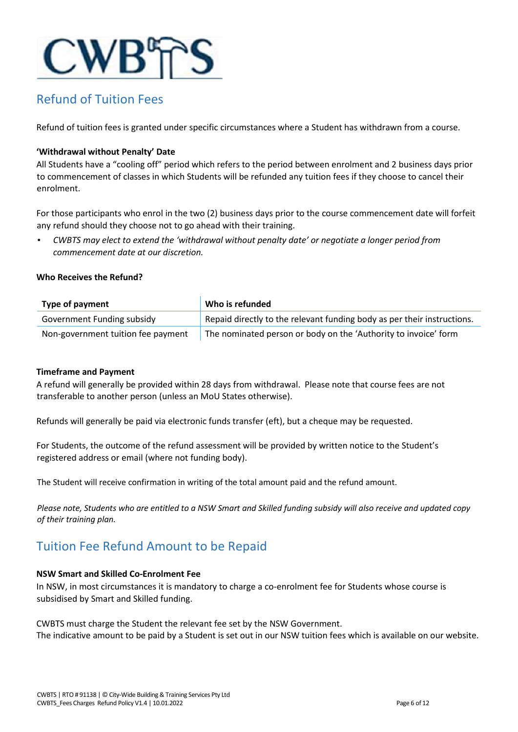

# Refund of Tuition Fees

Refund of tuition fees is granted under specific circumstances where a Student has withdrawn from a course.

#### **'Withdrawal without Penalty' Date**

All Students have a "cooling off" period which refers to the period between enrolment and 2 business days prior to commencement of classes in which Students will be refunded any tuition fees if they choose to cancel their enrolment.

For those participants who enrol in the two (2) business days prior to the course commencement date will forfeit any refund should they choose not to go ahead with their training.

• *CWBTS may elect to extend the 'withdrawal without penalty date' or negotiate a longer period from commencement date at our discretion.* 

#### **Who Receives the Refund?**

| <b>Type of payment</b>             | Who is refunded                                                         |
|------------------------------------|-------------------------------------------------------------------------|
| Government Funding subsidy         | Repaid directly to the relevant funding body as per their instructions. |
| Non-government tuition fee payment | The nominated person or body on the 'Authority to invoice' form         |

#### **Timeframe and Payment**

A refund will generally be provided within 28 days from withdrawal. Please note that course fees are not transferable to another person (unless an MoU States otherwise).

Refunds will generally be paid via electronic funds transfer (eft), but a cheque may be requested.

For Students, the outcome of the refund assessment will be provided by written notice to the Student's registered address or email (where not funding body).

The Student will receive confirmation in writing of the total amount paid and the refund amount.

*Please note, Students who are entitled to a NSW Smart and Skilled funding subsidy will also receive and updated copy of their training plan.*

# Tuition Fee Refund Amount to be Repaid

#### **NSW Smart and Skilled Co-Enrolment Fee**

In NSW, in most circumstances it is mandatory to charge a co-enrolment fee for Students whose course is subsidised by Smart and Skilled funding.

CWBTS must charge the Student the relevant fee set by the NSW Government. The indicative amount to be paid by a Student is set out in our NSW tuition fees which is available on our website.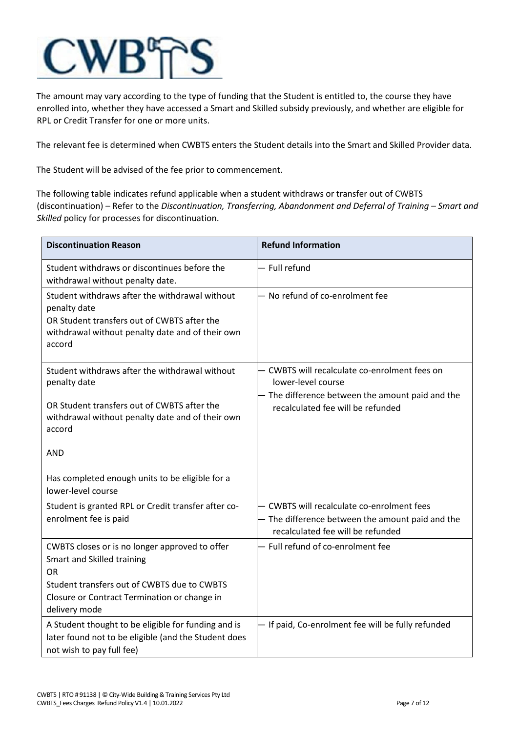

The amount may vary according to the type of funding that the Student is entitled to, the course they have enrolled into, whether they have accessed a Smart and Skilled subsidy previously, and whether are eligible for RPL or Credit Transfer for one or more units.

The relevant fee is determined when CWBTS enters the Student details into the Smart and Skilled Provider data.

The Student will be advised of the fee prior to commencement.

The following table indicates refund applicable when a student withdraws or transfer out of CWBTS (discontinuation) – Refer to the *Discontinuation, Transferring, Abandonment and Deferral of Training – Smart and Skilled* policy for processes for discontinuation.

| <b>Discontinuation Reason</b>                                                                                                                                                                             | <b>Refund Information</b>                                                                                                                                    |
|-----------------------------------------------------------------------------------------------------------------------------------------------------------------------------------------------------------|--------------------------------------------------------------------------------------------------------------------------------------------------------------|
| Student withdraws or discontinues before the<br>withdrawal without penalty date.                                                                                                                          | - Full refund                                                                                                                                                |
| Student withdraws after the withdrawal without<br>penalty date<br>OR Student transfers out of CWBTS after the<br>withdrawal without penalty date and of their own<br>accord                               | - No refund of co-enrolment fee                                                                                                                              |
| Student withdraws after the withdrawal without<br>penalty date<br>OR Student transfers out of CWBTS after the<br>withdrawal without penalty date and of their own<br>accord<br><b>AND</b>                 | - CWBTS will recalculate co-enrolment fees on<br>lower-level course<br>- The difference between the amount paid and the<br>recalculated fee will be refunded |
| Has completed enough units to be eligible for a<br>lower-level course                                                                                                                                     |                                                                                                                                                              |
| Student is granted RPL or Credit transfer after co-<br>enrolment fee is paid                                                                                                                              | - CWBTS will recalculate co-enrolment fees<br>- The difference between the amount paid and the<br>recalculated fee will be refunded                          |
| CWBTS closes or is no longer approved to offer<br>Smart and Skilled training<br><b>OR</b><br>Student transfers out of CWBTS due to CWBTS<br>Closure or Contract Termination or change in<br>delivery mode | - Full refund of co-enrolment fee                                                                                                                            |
| A Student thought to be eligible for funding and is<br>later found not to be eligible (and the Student does<br>not wish to pay full fee)                                                                  | - If paid, Co-enrolment fee will be fully refunded                                                                                                           |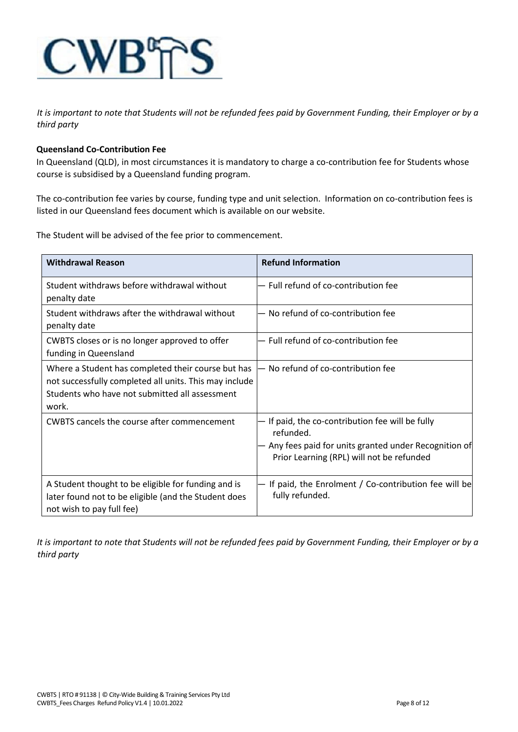

*It is important to note that Students will not be refunded fees paid by Government Funding, their Employer or by a third party*

#### **Queensland Co-Contribution Fee**

In Queensland (QLD), in most circumstances it is mandatory to charge a co-contribution fee for Students whose course is subsidised by a Queensland funding program.

The co-contribution fee varies by course, funding type and unit selection. Information on co-contribution fees is listed in our Queensland fees document which is available on our website.

The Student will be advised of the fee prior to commencement.

| <b>Withdrawal Reason</b>                                                                                                                                                | <b>Refund Information</b>                                                                                                                                        |
|-------------------------------------------------------------------------------------------------------------------------------------------------------------------------|------------------------------------------------------------------------------------------------------------------------------------------------------------------|
| Student withdraws before withdrawal without<br>penalty date                                                                                                             | - Full refund of co-contribution fee                                                                                                                             |
| Student withdraws after the withdrawal without<br>penalty date                                                                                                          | No refund of co-contribution fee                                                                                                                                 |
| CWBTS closes or is no longer approved to offer<br>funding in Queensland                                                                                                 | Full refund of co-contribution fee                                                                                                                               |
| Where a Student has completed their course but has<br>not successfully completed all units. This may include<br>Students who have not submitted all assessment<br>work. | No refund of co-contribution fee                                                                                                                                 |
| CWBTS cancels the course after commencement                                                                                                                             | If paid, the co-contribution fee will be fully<br>refunded.<br>Any fees paid for units granted under Recognition of<br>Prior Learning (RPL) will not be refunded |
| A Student thought to be eligible for funding and is<br>later found not to be eligible (and the Student does<br>not wish to pay full fee)                                | If paid, the Enrolment / Co-contribution fee will be<br>fully refunded.                                                                                          |

*It is important to note that Students will not be refunded fees paid by Government Funding, their Employer or by a third party*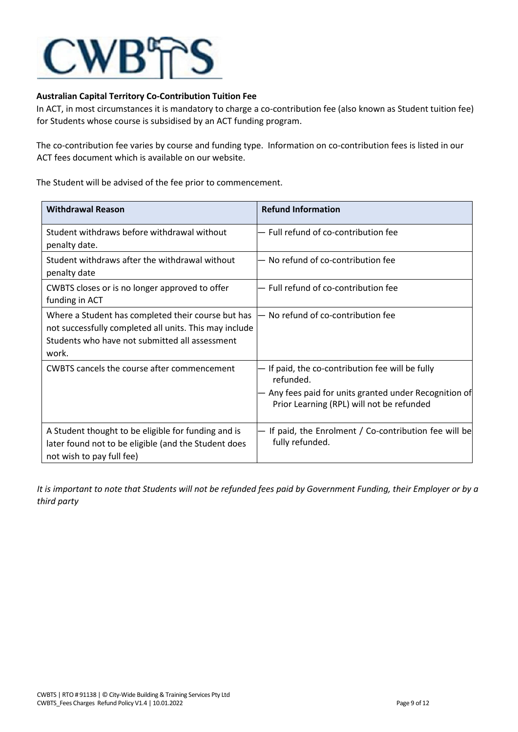

#### **Australian Capital Territory Co-Contribution Tuition Fee**

In ACT, in most circumstances it is mandatory to charge a co-contribution fee (also known as Student tuition fee) for Students whose course is subsidised by an ACT funding program.

The co-contribution fee varies by course and funding type. Information on co-contribution fees is listed in our ACT fees document which is available on our website.

The Student will be advised of the fee prior to commencement.

| <b>Withdrawal Reason</b>                                                                                                                                                | <b>Refund Information</b>                                                                                                                                        |
|-------------------------------------------------------------------------------------------------------------------------------------------------------------------------|------------------------------------------------------------------------------------------------------------------------------------------------------------------|
| Student withdraws before withdrawal without<br>penalty date.                                                                                                            | - Full refund of co-contribution fee                                                                                                                             |
| Student withdraws after the withdrawal without<br>penalty date                                                                                                          | No refund of co-contribution fee                                                                                                                                 |
| CWBTS closes or is no longer approved to offer<br>funding in ACT                                                                                                        | - Full refund of co-contribution fee                                                                                                                             |
| Where a Student has completed their course but has<br>not successfully completed all units. This may include<br>Students who have not submitted all assessment<br>work. | No refund of co-contribution fee                                                                                                                                 |
| CWBTS cancels the course after commencement                                                                                                                             | If paid, the co-contribution fee will be fully<br>refunded.<br>Any fees paid for units granted under Recognition of<br>Prior Learning (RPL) will not be refunded |
| A Student thought to be eligible for funding and is<br>later found not to be eligible (and the Student does<br>not wish to pay full fee)                                | If paid, the Enrolment / Co-contribution fee will be<br>fully refunded.                                                                                          |

*It is important to note that Students will not be refunded fees paid by Government Funding, their Employer or by a third party*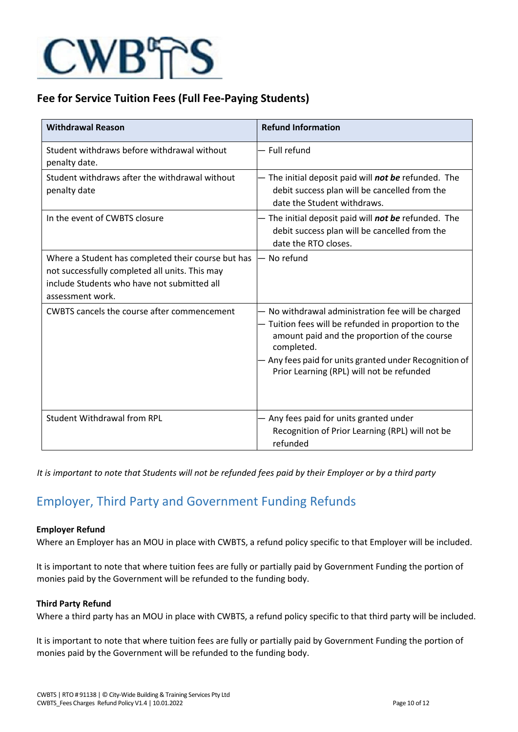

### **Fee for Service Tuition Fees (Full Fee-Paying Students)**

| <b>Withdrawal Reason</b>                                                                                                                                                | <b>Refund Information</b>                                                                                                                                                                                                                                                     |
|-------------------------------------------------------------------------------------------------------------------------------------------------------------------------|-------------------------------------------------------------------------------------------------------------------------------------------------------------------------------------------------------------------------------------------------------------------------------|
| Student withdraws before withdrawal without<br>penalty date.                                                                                                            | - Full refund                                                                                                                                                                                                                                                                 |
| Student withdraws after the withdrawal without<br>penalty date                                                                                                          | - The initial deposit paid will not be refunded. The<br>debit success plan will be cancelled from the<br>date the Student withdraws.                                                                                                                                          |
| In the event of CWBTS closure                                                                                                                                           | - The initial deposit paid will not be refunded. The<br>debit success plan will be cancelled from the<br>date the RTO closes.                                                                                                                                                 |
| Where a Student has completed their course but has<br>not successfully completed all units. This may<br>include Students who have not submitted all<br>assessment work. | – No refund                                                                                                                                                                                                                                                                   |
| <b>CWBTS cancels the course after commencement</b>                                                                                                                      | No withdrawal administration fee will be charged<br>- Tuition fees will be refunded in proportion to the<br>amount paid and the proportion of the course<br>completed.<br>- Any fees paid for units granted under Recognition of<br>Prior Learning (RPL) will not be refunded |
| <b>Student Withdrawal from RPL</b>                                                                                                                                      | - Any fees paid for units granted under<br>Recognition of Prior Learning (RPL) will not be<br>refunded                                                                                                                                                                        |

*It is important to note that Students will not be refunded fees paid by their Employer or by a third party*

# Employer, Third Party and Government Funding Refunds

#### **Employer Refund**

Where an Employer has an MOU in place with CWBTS, a refund policy specific to that Employer will be included.

It is important to note that where tuition fees are fully or partially paid by Government Funding the portion of monies paid by the Government will be refunded to the funding body.

#### **Third Party Refund**

Where a third party has an MOU in place with CWBTS, a refund policy specific to that third party will be included.

It is important to note that where tuition fees are fully or partially paid by Government Funding the portion of monies paid by the Government will be refunded to the funding body.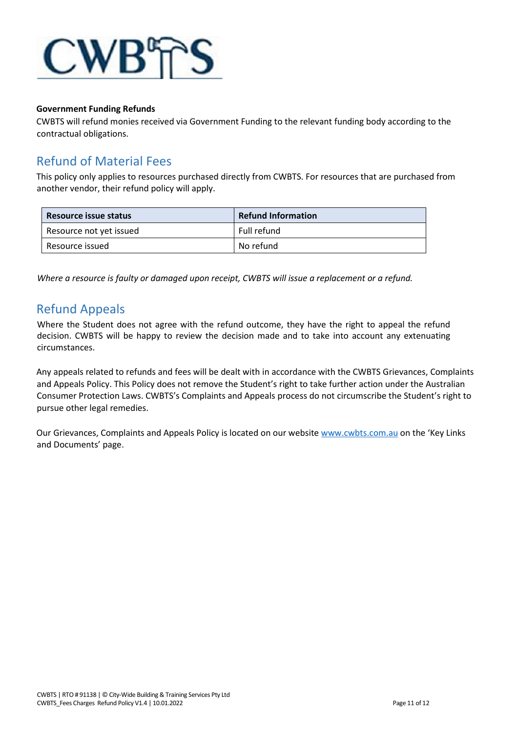

#### **Government Funding Refunds**

CWBTS will refund monies received via Government Funding to the relevant funding body according to the contractual obligations.

# Refund of Material Fees

This policy only applies to resources purchased directly from CWBTS. For resources that are purchased from another vendor, their refund policy will apply.

| Resource issue status   | <b>Refund Information</b> |
|-------------------------|---------------------------|
| Resource not yet issued | Full refund               |
| Resource issued         | No refund                 |

*Where a resource is faulty or damaged upon receipt, CWBTS will issue a replacement or a refund.* 

## Refund Appeals

Where the Student does not agree with the refund outcome, they have the right to appeal the refund decision. CWBTS will be happy to review the decision made and to take into account any extenuating circumstances.

Any appeals related to refunds and fees will be dealt with in accordance with the CWBTS Grievances, Complaints and Appeals Policy. This Policy does not remove the Student's right to take further action under the Australian Consumer Protection Laws. CWBTS's Complaints and Appeals process do not circumscribe the Student's right to pursue other legal remedies.

Our Grievances, Complaints and Appeals Policy is located on our website [www.cwbts.com.au](http://www.cwbts.com.au/) on the 'Key Links and Documents' page.